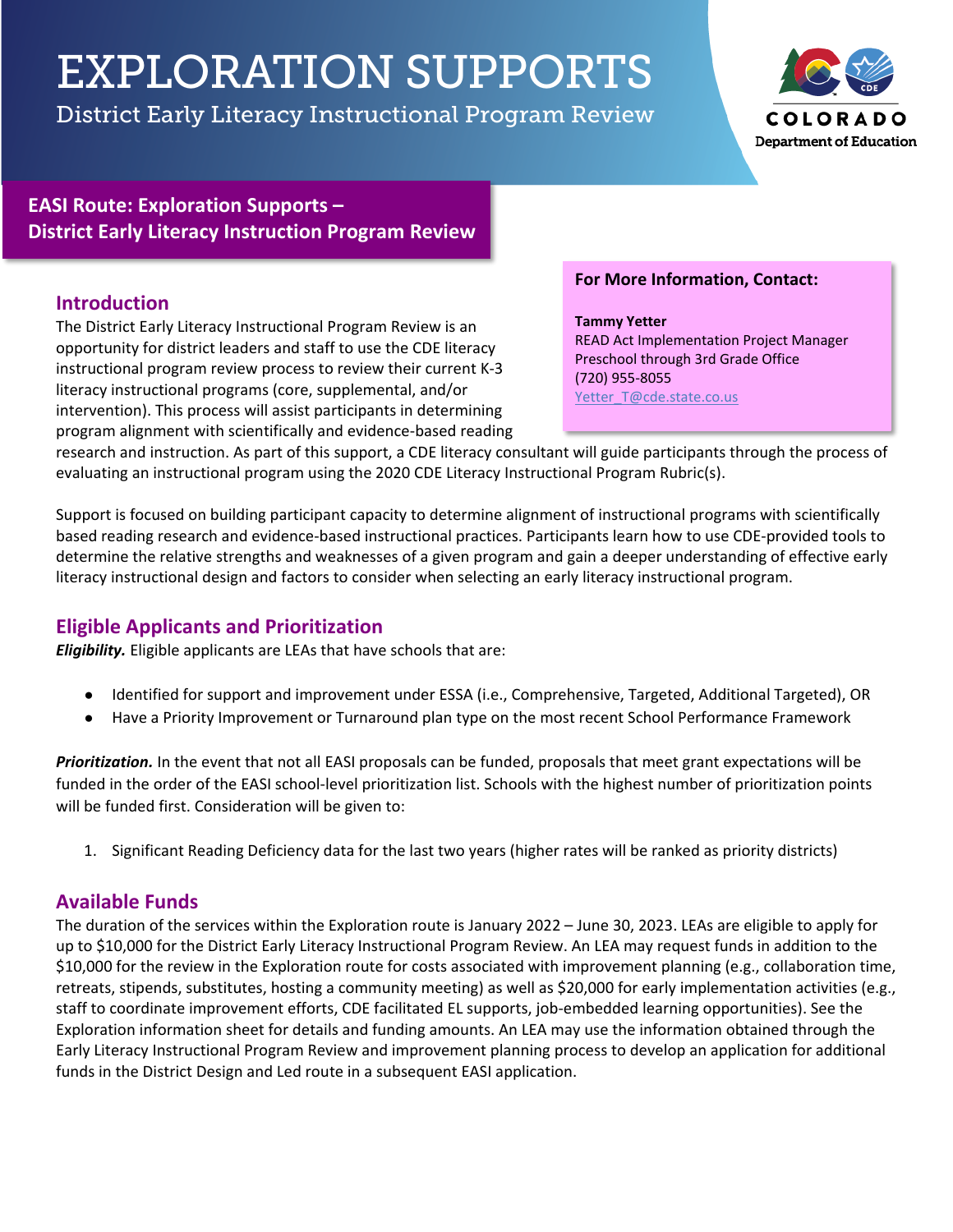# EXPLORATION SUPPORTS

District Early Literacy Instructional Program Review



## **EASI Route: Exploration Supports – District Early Literacy Instruction Program Review**

## **Introduction**

The District Early Literacy Instructional Program Review is an opportunity for district leaders and staff to use the CDE literacy instructional program review process to review their current K-3 literacy instructional programs (core, supplemental, and/or intervention). This process will assist participants in determining program alignment with scientifically and evidence-based reading

#### **For More Information, Contact:**

**Tammy Yetter** READ Act Implementation Project Manager Preschool through 3rd Grade Office (720) 955-8055 Yetter\_T@cde.state.co.us

research and instruction. As part of this support, a CDE literacy consultant will guide participants through the process of evaluating an instructional program using the 2020 CDE Literacy Instructional Program Rubric(s).

Support is focused on building participant capacity to determine alignment of instructional programs with scientifically based reading research and evidence-based instructional practices. Participants learn how to use CDE-provided tools to determine the relative strengths and weaknesses of a given program and gain a deeper understanding of effective early literacy instructional design and factors to consider when selecting an early literacy instructional program.

## **Eligible Applicants and Prioritization**

*Eligibility.* Eligible applicants are LEAs that have schools that are:

- Identified for support and improvement under ESSA (i.e., Comprehensive, Targeted, Additional Targeted), OR
- Have a Priority Improvement or Turnaround plan type on the most recent School Performance Framework

*Prioritization.* In the event that not all EASI proposals can be funded, proposals that meet grant expectations will be funded in the order of the EASI school-level prioritization list. Schools with the highest number of prioritization points will be funded first. Consideration will be given to:

1. Significant Reading Deficiency data for the last two years (higher rates will be ranked as priority districts)

## **Available Funds**

The duration of the services within the Exploration route is January 2022 – June 30, 2023. LEAs are eligible to apply for up to \$10,000 for the District Early Literacy Instructional Program Review. An LEA may request funds in addition to the \$10,000 for the review in the Exploration route for costs associated with improvement planning (e.g., collaboration time, retreats, stipends, substitutes, hosting a community meeting) as well as \$20,000 for early implementation activities (e.g., staff to coordinate improvement efforts, CDE facilitated EL supports, job-embedded learning opportunities). See the Exploration information sheet for details and funding amounts. An LEA may use the information obtained through the Early Literacy Instructional Program Review and improvement planning process to develop an application for additional funds in the District Design and Led route in a subsequent EASI application.